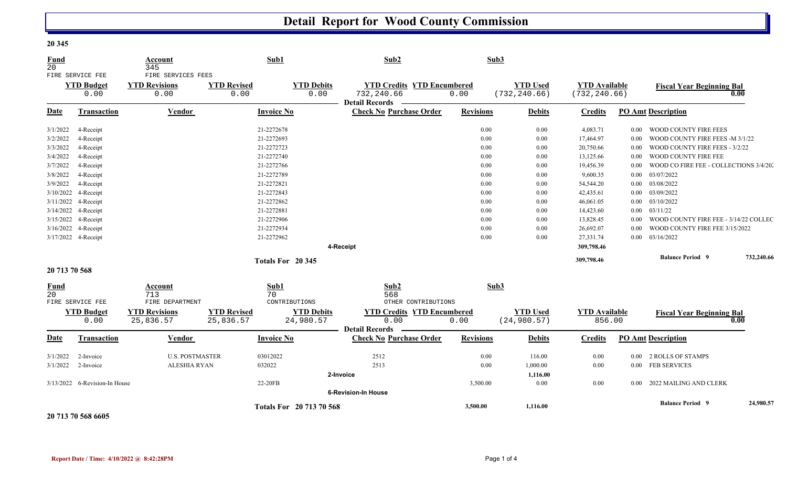## **Detail Report for Wood County Commission**

| <b>Fund</b><br>20              |                                               | Account<br>345                                     |                                 | Sub1                            | Sub2                                                                |                  | Sub3                             |                                       |          |                                        |            |
|--------------------------------|-----------------------------------------------|----------------------------------------------------|---------------------------------|---------------------------------|---------------------------------------------------------------------|------------------|----------------------------------|---------------------------------------|----------|----------------------------------------|------------|
|                                | FIRE SERVICE FEE<br><b>YTD Budget</b><br>0.00 | FIRE SERVICES FEES<br><b>YTD Revisions</b><br>0.00 | <b>YTD Revised</b><br>0.00      | <b>YTD Debits</b><br>0.00       | <b>YTD Credits YTD Encumbered</b><br>732,240.66<br>Detail Records — | 0.00             | <b>YTD Used</b><br>(732, 240.66) | <b>YTD Available</b><br>(732, 240.66) |          | <b>Fiscal Year Beginning Bal</b>       | 0.00       |
| <b>Date</b>                    | <b>Transaction</b>                            | Vendor                                             |                                 | <b>Invoice No</b>               | <b>Check No Purchase Order</b>                                      | <b>Revisions</b> | <b>Debits</b>                    | <b>Credits</b>                        |          | <b>PO Amt Description</b>              |            |
| 3/1/2022                       | 4-Receipt                                     |                                                    |                                 | 21-2272678                      |                                                                     | 0.00             | 0.00                             | 4,083.71                              | $0.00\,$ | WOOD COUNTY FIRE FEES                  |            |
| 3/2/2022                       | 4-Receipt                                     |                                                    |                                 | 21-2272693                      |                                                                     | 0.00             | $0.00\,$                         | 17,464.97                             | 0.00     | WOOD COUNTY FIRE FEES - M 3/1/22       |            |
| 3/3/2022                       | 4-Receipt                                     |                                                    |                                 | 21-2272723                      |                                                                     | 0.00             | 0.00                             | 20,750.66                             | 0.00     | WOOD COUNTY FIRE FEES - 3/2/22         |            |
| 3/4/2022                       | 4-Receipt                                     |                                                    |                                 | 21-2272740                      |                                                                     | 0.00             | 0.00                             | 13,125.66                             | $0.00\,$ | WOOD COUNTY FIRE FEE                   |            |
| 3/7/2022                       | 4-Receipt                                     |                                                    |                                 | 21-2272766                      |                                                                     | 0.00             | 0.00                             | 19,456.39                             | $0.00\,$ | WOOD CO FIRE FEE - COLLECTIONS 3/4/20. |            |
| 3/8/2022                       | 4-Receipt                                     |                                                    |                                 | 21-2272789                      |                                                                     | 0.00             | 0.00                             | 9,600.35                              | $0.00\,$ | 03/07/2022                             |            |
| 3/9/2022                       | 4-Receipt                                     |                                                    |                                 | 21-2272821                      |                                                                     | 0.00             | 0.00                             | 54,544.20                             |          | $0.00$ 03/08/2022                      |            |
| 3/10/2022                      | 4-Receipt                                     |                                                    |                                 | 21-2272843                      |                                                                     | 0.00             | 0.00                             | 42,435.61                             | $0.00\,$ | 03/09/2022                             |            |
|                                | 3/11/2022 4-Receipt                           |                                                    |                                 | 21-2272862                      |                                                                     | 0.00             | 0.00                             | 46,061.05                             | $0.00\,$ | 03/10/2022                             |            |
|                                | 3/14/2022 4-Receipt                           |                                                    |                                 | 21-2272881                      |                                                                     | 0.00             | 0.00                             | 14,423.60                             |          | $0.00$ $03/11/22$                      |            |
|                                | 3/15/2022 4-Receipt                           |                                                    |                                 | 21-2272906                      |                                                                     | 0.00             | 0.00                             | 13,828.45                             | $0.00\,$ | WOOD COUNTY FIRE FEE - 3/14/22 COLLEC  |            |
|                                | 3/16/2022 4-Receipt                           |                                                    |                                 | 21-2272934                      |                                                                     | 0.00             | 0.00                             | 26,692.07                             | $0.00\,$ | WOOD COUNTY FIRE FEE 3/15/2022         |            |
|                                | 3/17/2022 4-Receipt                           |                                                    |                                 | 21-2272962                      |                                                                     | 0.00             | 0.00                             | 27,331.74                             |          | $0.00$ $03/16/2022$                    |            |
|                                |                                               |                                                    |                                 |                                 | 4-Receipt                                                           |                  |                                  | 309,798.46                            |          |                                        |            |
|                                |                                               |                                                    |                                 | Totals For 20 345               |                                                                     |                  |                                  | 309,798.46                            |          | <b>Balance Period 9</b>                | 732,240.66 |
| 20 713 70 568                  |                                               |                                                    |                                 |                                 |                                                                     |                  |                                  |                                       |          |                                        |            |
| <b>Fund</b><br>$\overline{20}$ |                                               | Account<br>713                                     |                                 | Sub1<br>70                      | Sub2<br>568                                                         | Sub3             |                                  |                                       |          |                                        |            |
|                                | FIRE SERVICE FEE                              | FIRE DEPARTMENT                                    |                                 | CONTRIBUTIONS                   | OTHER CONTRIBUTIONS                                                 |                  |                                  |                                       |          |                                        |            |
|                                | <b>YTD Budget</b><br>0.00                     | <b>YTD Revisions</b><br>25,836.57                  | <b>YTD Revised</b><br>25,836.57 | <b>YTD Debits</b><br>24,980.57  | <b>YTD Credits YTD Encumbered</b><br>0.00                           | 0.00             | <b>YTD Used</b><br>(24, 980.57)  | <b>YTD Available</b><br>856.00        |          | <b>Fiscal Year Beginning Bal</b>       | 0.00       |
| <b>Date</b>                    | Transaction                                   | Vendor                                             |                                 | <b>Invoice No</b>               | <b>Detail Records</b><br><b>Check No Purchase Order</b>             | <b>Revisions</b> | <b>Debits</b>                    | <b>Credits</b>                        |          | <b>PO Amt Description</b>              |            |
|                                |                                               |                                                    |                                 |                                 |                                                                     |                  |                                  |                                       |          |                                        |            |
| 3/1/2022                       | 2-Invoice                                     | <b>U.S. POSTMASTER</b>                             |                                 | 03012022                        | 2512                                                                | 0.00             | 116.00                           | 0.00                                  | $0.00\,$ | 2 ROLLS OF STAMPS                      |            |
| 3/1/2022                       | 2-Invoice                                     | <b>ALESHIA RYAN</b>                                |                                 | 032022                          | 2513                                                                | 0.00             | 1,000.00                         | 0.00                                  |          | 0.00 FEB SERVICES                      |            |
|                                |                                               |                                                    |                                 |                                 | 2-Invoice                                                           |                  | 1,116.00                         |                                       |          |                                        |            |
|                                | 3/13/2022 6-Revision-In House                 |                                                    |                                 | 22-20FB                         |                                                                     | 3,500.00         | 0.00                             | 0.00                                  |          | 0.00 2022 MAILING AND CLERK            |            |
|                                |                                               |                                                    |                                 |                                 | <b>6-Revision-In House</b>                                          |                  |                                  |                                       |          |                                        |            |
|                                | 20 713 70 568 6605                            |                                                    |                                 | <b>Totals For 20 713 70 568</b> |                                                                     | 3,500.00         | 1,116.00                         |                                       |          | <b>Balance Period 9</b>                | 24,980.57  |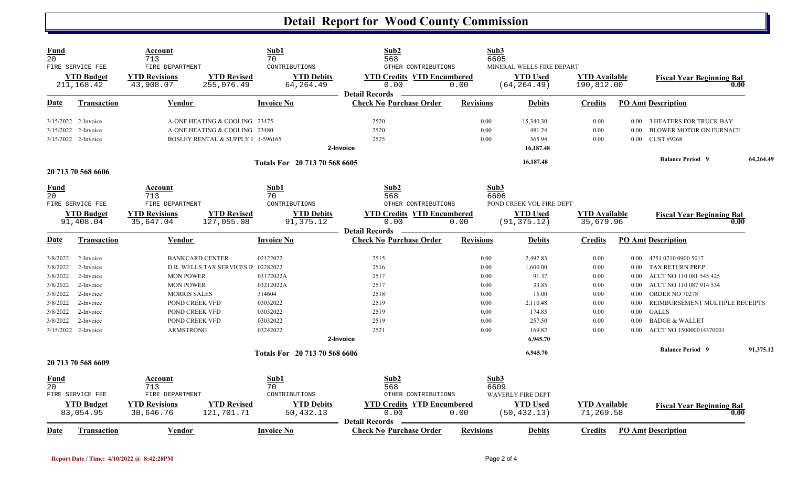## **Detail Report for Wood County Commission**

| <b>Fund</b><br>20                                                                            | FIRE SERVICE FEE<br><b>YTD Budget</b><br>211,168.42                                                                         | Account<br>713<br>FIRE DEPARTMENT<br><b>YTD Revisions</b><br>43,908.07                                                                                          | Sub1<br>70<br>CONTRIBUTIONS<br><b>YTD Revised</b><br><b>YTD Debits</b><br>64, 264.49<br>255,076.49                                  | Sub2<br>568<br>OTHER CONTRIBUTIONS<br><b>YTD Credits YTD Encumbered</b><br>0.00                                                            | Sub3<br>6605<br>0.00                                                 | MINERAL WELLS FIRE DEPART<br><b>YTD Used</b><br>(64, 264.49)                                          | <b>YTD Available</b><br>190,812.00                                   |                                                                          | <b>Fiscal Year Beginning Bal</b><br>0.00                                                                                                                                                                                                             |           |
|----------------------------------------------------------------------------------------------|-----------------------------------------------------------------------------------------------------------------------------|-----------------------------------------------------------------------------------------------------------------------------------------------------------------|-------------------------------------------------------------------------------------------------------------------------------------|--------------------------------------------------------------------------------------------------------------------------------------------|----------------------------------------------------------------------|-------------------------------------------------------------------------------------------------------|----------------------------------------------------------------------|--------------------------------------------------------------------------|------------------------------------------------------------------------------------------------------------------------------------------------------------------------------------------------------------------------------------------------------|-----------|
| Date                                                                                         | <u>Transaction</u>                                                                                                          | <b>Vendor</b>                                                                                                                                                   | <b>Invoice No</b>                                                                                                                   | <b>Detail Records</b><br><b>Check No Purchase Order</b>                                                                                    | <b>Revisions</b>                                                     | <b>Debits</b>                                                                                         | <b>Credits</b>                                                       |                                                                          | <b>PO Amt Description</b>                                                                                                                                                                                                                            |           |
|                                                                                              | 3/15/2022 2-Invoice<br>3/15/2022 2-Invoice<br>3/15/2022 2-Invoice                                                           |                                                                                                                                                                 | A-ONE HEATING & COOLING 23475<br>A-ONE HEATING & COOLING 23480<br>BOSLEY RENTAL & SUPPLY I 1-596165                                 | 2520<br>2520<br>2525<br>2-Invoice                                                                                                          | 0.00<br>0.00<br>0.00                                                 | 15,340.30<br>481.24<br>365.94<br>16,187.48                                                            | 0.00<br>0.00<br>0.00                                                 | $0.00\,$<br>0.00<br>0.00                                                 | 3 HEATERS FOR TRUCK BAY<br><b>BLOWER MOTOR ON FURNACE</b><br>CUST #9268                                                                                                                                                                              |           |
|                                                                                              | 20 713 70 568 6606                                                                                                          |                                                                                                                                                                 | Totals For 20 713 70 568 6605                                                                                                       |                                                                                                                                            |                                                                      | 16,187.48                                                                                             |                                                                      |                                                                          | <b>Balance Period 9</b>                                                                                                                                                                                                                              | 64,264.49 |
| Fund<br>$\overline{20}$                                                                      | FIRE SERVICE FEE<br><b>YTD Budget</b><br>91,408.04                                                                          | Account<br>713<br>FIRE DEPARTMENT<br><b>YTD Revisions</b><br>35,647.04                                                                                          | Sub1<br>70<br>CONTRIBUTIONS<br><b>YTD Revised</b><br><b>YTD Debits</b><br>91,375.12<br>127,055.08                                   | Sub2<br>568<br>OTHER CONTRIBUTIONS<br><b>YTD Credits YTD Encumbered</b><br>0.00                                                            | Sub3<br>6606<br>0.00                                                 | POND CREEK VOL FIRE DEPT<br><b>YTD Used</b><br>(91, 375.12)                                           | <b>YTD</b> Available<br>35,679.96                                    |                                                                          | <b>Fiscal Year Beginning Bal</b><br>0.00                                                                                                                                                                                                             |           |
| Date                                                                                         | <b>Transaction</b>                                                                                                          | <b>Vendor</b>                                                                                                                                                   | <b>Invoice No</b>                                                                                                                   | <b>Detail Records</b><br><b>Check No Purchase Order</b>                                                                                    | <b>Revisions</b>                                                     | <b>Debits</b>                                                                                         | <b>Credits</b>                                                       |                                                                          | <b>PO Amt Description</b>                                                                                                                                                                                                                            |           |
| 3/8/2022<br>3/8/2022<br>3/8/2022<br>3/8/2022<br>3/8/2022<br>3/8/2022<br>3/8/2022<br>3/8/2022 | 2-Invoice<br>2-Invoice<br>2-Invoice<br>2-Invoice<br>2-Invoice<br>2-Invoice<br>2-Invoice<br>2-Invoice<br>3/15/2022 2-Invoice | <b>BANKCARD CENTER</b><br><b>MON POWER</b><br><b>MON POWER</b><br><b>MORRIS SALES</b><br>POND CREEK VFD<br>POND CREEK VFD<br>POND CREEK VFD<br><b>ARMSTRONG</b> | 02122022<br>D.R. WELLS TAX SERVICES IN 02282022<br>03172022A<br>03212022A<br>314604<br>03032022<br>03032022<br>03032022<br>03242022 | 2515<br>2516<br>2517<br>2517<br>2518<br>2519<br>2519<br>2519<br>2521<br>2-Invoice                                                          | 0.00<br>0.00<br>0.00<br>0.00<br>0.00<br>0.00<br>0.00<br>0.00<br>0.00 | 2,492.83<br>1,600.00<br>91.37<br>33.85<br>15.00<br>2,110.48<br>174.85<br>257.50<br>169.82<br>6,945.70 | 0.00<br>0.00<br>0.00<br>0.00<br>0.00<br>0.00<br>0.00<br>0.00<br>0.00 | 0.00<br>$0.00\,$<br>0.00<br>0.00<br>0.00<br>0.00<br>0.00<br>0.00<br>0.00 | 4251 0710 0900 5017<br>TAX RETURN PREP<br>ACCT NO 110 081 545 425<br>ACCT NO 110 087 914 534<br>ORDER NO 70278<br>REIMBURSEMENT MULTIPLE RECEIPTS<br><b>GALLS</b><br><b>BADGE &amp; WALLET</b><br>ACCT NO 150000014370001<br><b>Balance Period 9</b> | 91,375.12 |
|                                                                                              | 20 713 70 568 6609                                                                                                          |                                                                                                                                                                 | Totals For 20 713 70 568 6606                                                                                                       |                                                                                                                                            |                                                                      | 6,945.70                                                                                              |                                                                      |                                                                          |                                                                                                                                                                                                                                                      |           |
| <b>Fund</b><br>20<br>Date                                                                    | FIRE SERVICE FEE<br><b>YTD Budget</b><br>83,054.95<br>Transaction                                                           | Account<br>713<br>FIRE DEPARTMENT<br><b>YTD Revisions</b><br>38,646.76<br>Vendor                                                                                | Sub1<br>70<br>CONTRIBUTIONS<br><b>YTD Revised</b><br><b>YTD Debits</b><br>121,701.71<br>50,432.13<br><b>Invoice No</b>              | Sub2<br>568<br>OTHER CONTRIBUTIONS<br><b>YTD Credits YTD Encumbered</b><br>0.00<br><b>Detail Records</b><br><b>Check No Purchase Order</b> | Sub3<br>6609<br>0.00<br><b>Revisions</b>                             | <b>WAVERLY FIRE DEPT</b><br><b>YTD</b> Used<br>(50, 432.13)<br><b>Debits</b>                          | <b>YTD Available</b><br>71,269.58<br><b>Credits</b>                  |                                                                          | <b>Fiscal Year Beginning Bal</b><br>0.00<br><b>PO Amt Description</b>                                                                                                                                                                                |           |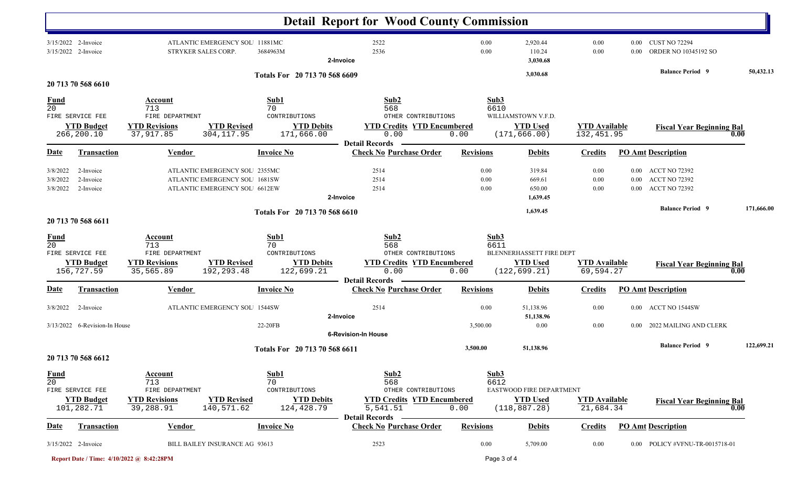|                                  |                                                                           |                                                                        |                                                                                                 |                                                                | <b>Detail Report for Wood County Commission</b>                                                          |                      |                                                              |                                    |                      |                                                                    |            |
|----------------------------------|---------------------------------------------------------------------------|------------------------------------------------------------------------|-------------------------------------------------------------------------------------------------|----------------------------------------------------------------|----------------------------------------------------------------------------------------------------------|----------------------|--------------------------------------------------------------|------------------------------------|----------------------|--------------------------------------------------------------------|------------|
|                                  | 3/15/2022 2-Invoice<br>3/15/2022 2-Invoice                                | STRYKER SALES CORP.                                                    | ATLANTIC EMERGENCY SOL 11881MC                                                                  | 3684963M                                                       | 2522<br>2536<br>2-Invoice                                                                                | 0.00<br>0.00         | 2,920.44<br>110.24<br>3,030.68                               | 0.00<br>0.00                       | $0.00\,$<br>0.00     | <b>CUST NO 72294</b><br>ORDER NO 10345192 SO                       |            |
|                                  | 20 713 70 568 6610                                                        |                                                                        |                                                                                                 | Totals For 20 713 70 568 6609                                  |                                                                                                          |                      | 3,030.68                                                     |                                    |                      | <b>Balance Period 9</b>                                            | 50,432.13  |
| $\frac{Fund}{20}$                | FIRE SERVICE FEE                                                          | Account<br>713<br>FIRE DEPARTMENT                                      |                                                                                                 | Sub1<br>70<br>CONTRIBUTIONS                                    | Sub2<br>568<br>OTHER CONTRIBUTIONS                                                                       | Sub3<br>6610         | WILLIAMSTOWN V.F.D.                                          |                                    |                      |                                                                    |            |
|                                  | <b>YTD Budget</b><br>266,200.10                                           | <b>YTD Revisions</b><br>37,917.85                                      | <b>YTD Revised</b><br>304, 117.95                                                               | <b>YTD Debits</b><br>171,666.00                                | <b>YTD Credits YTD Encumbered</b><br>0.00<br><b>Detail Records</b>                                       | 0.00                 | <b>YTD Used</b><br>(171, 666.00)                             | <b>YTD Available</b><br>132,451.95 |                      | <b>Fiscal Year Beginning Bal</b>                                   | 0.00       |
| <b>Date</b>                      | <b>Transaction</b>                                                        | Vendor                                                                 |                                                                                                 | <b>Invoice No</b>                                              | <b>Check No Purchase Order</b>                                                                           | <b>Revisions</b>     | <b>Debits</b>                                                | <b>Credits</b>                     |                      | <b>PO Amt Description</b>                                          |            |
| 3/8/2022<br>3/8/2022<br>3/8/2022 | 2-Invoice<br>2-Invoice<br>2-Invoice                                       |                                                                        | ATLANTIC EMERGENCY SOL 2355MC<br>ATLANTIC EMERGENCY SOL 1681SW<br>ATLANTIC EMERGENCY SOL 6612EW |                                                                | 2514<br>2514<br>2514<br>2-Invoice                                                                        | 0.00<br>0.00<br>0.00 | 319.84<br>669.61<br>650.00<br>1,639.45                       | 0.00<br>0.00<br>0.00               | $0.00\,$<br>$0.00\,$ | 0.00 ACCT NO 72392<br><b>ACCT NO 72392</b><br><b>ACCT NO 72392</b> |            |
|                                  |                                                                           |                                                                        |                                                                                                 | Totals For 20 713 70 568 6610                                  |                                                                                                          |                      | 1,639.45                                                     |                                    |                      | <b>Balance Period 9</b>                                            | 171,666.00 |
| <b>Fund</b><br>$\overline{20}$   | 20 713 70 568 6611<br>FIRE SERVICE FEE<br><b>YTD Budget</b><br>156,727.59 | Account<br>713<br>FIRE DEPARTMENT<br><b>YTD Revisions</b><br>35,565.89 | <b>YTD Revised</b><br>192,293.48                                                                | Sub1<br>70<br>CONTRIBUTIONS<br><b>YTD Debits</b><br>122,699.21 | Sub2<br>568<br>OTHER CONTRIBUTIONS<br><b>YTD Credits YTD Encumbered</b><br>0.00<br><b>Detail Records</b> | Sub3<br>6611<br>0.00 | BLENNERHASSETT FIRE DEPT<br><b>YTD Used</b><br>(122, 699.21) | <b>YTD Available</b><br>69,594.27  |                      | <b>Fiscal Year Beginning Bal</b>                                   | 0.00       |
| Date                             | <b>Transaction</b>                                                        | <b>Vendor</b>                                                          |                                                                                                 | <b>Invoice No</b>                                              | <b>Check No Purchase Order</b>                                                                           | <b>Revisions</b>     | <b>Debits</b>                                                | <b>Credits</b>                     |                      | <b>PO Amt Description</b>                                          |            |
| 3/8/2022                         | 2-Invoice<br>3/13/2022 6-Revision-In House                                |                                                                        | ATLANTIC EMERGENCY SOL 1544SW                                                                   | 22-20FB                                                        | 2514<br>2-Invoice<br><b>6-Revision-In House</b>                                                          | 0.00<br>3,500.00     | 51,138.96<br>51,138.96<br>0.00                               | 0.00<br>0.00                       |                      | 0.00 ACCT NO 1544SW<br>0.00 2022 MAILING AND CLERK                 |            |
|                                  | 20 713 70 568 6612                                                        |                                                                        |                                                                                                 | Totals For 20 713 70 568 6611                                  |                                                                                                          | 3,500.00             | 51,138.96                                                    |                                    |                      | <b>Balance Period 9</b>                                            | 122,699.21 |
| $\frac{Fund}{20}$                | FIRE SERVICE FEE<br><b>YTD Budget</b><br>101,282.71                       | Account<br>713<br>FIRE DEPARTMENT<br><b>YTD Revisions</b><br>39,288.91 | <b>YTD Revised</b><br>140,571.62                                                                | Sub1<br>70<br>CONTRIBUTIONS<br><b>YTD Debits</b><br>124,428.79 | Sub2<br>568<br>OTHER CONTRIBUTIONS<br><b>YTD Credits YTD Encumbered</b><br>5,541.51                      | Sub3<br>6612<br>0.00 | EASTWOOD FIRE DEPARTMENT<br><b>YTD Used</b><br>(118, 887.28) | <b>YTD</b> Available<br>21,684.34  |                      | <b>Fiscal Year Beginning Bal</b>                                   | 0.00       |
| <b>Date</b>                      | Transaction                                                               | Vendor                                                                 |                                                                                                 | <b>Invoice No</b>                                              | <b>Detail Records</b><br><b>Check No Purchase Order</b>                                                  | <b>Revisions</b>     | <b>Debits</b>                                                | <b>Credits</b>                     |                      | PO Amt Description                                                 |            |
|                                  | 3/15/2022 2-Invoice                                                       |                                                                        | BILL BAILEY INSURANCE AG 93613                                                                  |                                                                | 2523                                                                                                     | 0.00                 | 5,709.00                                                     | 0.00                               |                      | 0.00 POLICY #VFNU-TR-0015718-01                                    |            |

**Report Date / Time: 4/10/2022 @ 8:42:28PM** Page 3 of 4